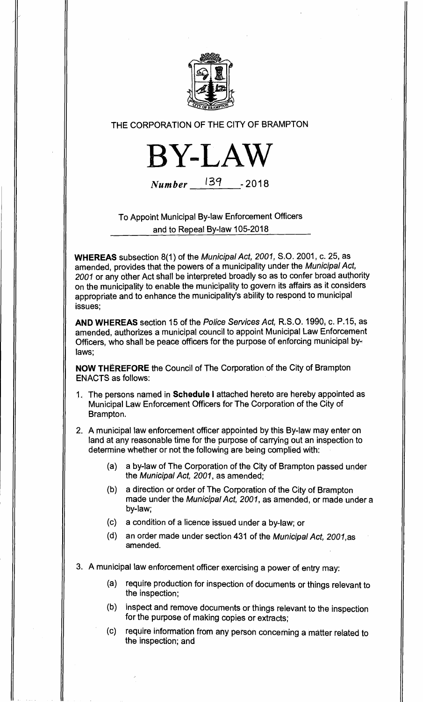

THE CORPORATION OF THE CITY OF BRAMPTON



Number 1347 - **2018** 

To Appoint Municipal By-law Enforcement Officers and to Repeal By-law 105-2018

**WHEREAS** subsection 8(1) of the Municipal Act, 2001, S.O. 2001, c. 25, as amended, provides that the powers of a municipality under the Municipal Act, 2001 or any other Act shall be interpreted broadly so as to confer broad authority on the municipality to enable the municipality to govern its affairs as it considers appropriate and to enhance the municipality's ability to respond to municipal issues;

**AND WHEREAS** section 15 of the Police Services Act, R.S.O. 1990, c. P.15, as amended, authorizes a municipal council to appoint Municipal Law Enforcement Officers, who shall be peace officers for the purpose of enforcing municipal bylaws;

**NOW THEREFORE** the Council of The Corporation of the City of Brampton ENACTS as follows:

1. The persons named in **Schedule I** attached hereto are hereby appointed as Municipal Law Enforcement Officers for The Corporation of the City of Brampton.

2. A municipal law enforcement officer appointed by this By-law may enter on land at any reasonable time for the purpose of carrying out an inspection to determine whether or not the following are being complied with:

- (a) a by-law of The Corporation of the City of Brampton passed under the Municipal Act, 2001, as amended;
- (b) a direction or order of The Corporation of the City of Brampton made under the Municipal Act, 2001, as amended, or made under a by-law;
- (c) a condition of a licence issued under a by-law; or
- (d) an order made under section 431 of the Municipal Act, 2001,as amended.

3. A municipal law enforcement officer exercising a power of entry may:

- (a) require production for inspection of documents or things relevant to the inspection;
- (b) inspect and remove documents or things relevant to the inspection for the purpose of making copies or extracts;
- (c) require information from any person concerning a matter related to the inspection; and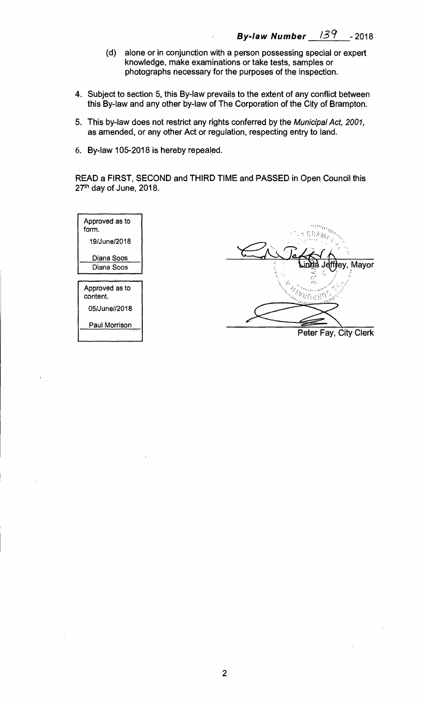- **(d) alone or in conjunction with a person possessing special or expert knowledge, make examinations or take tests, samples or photographs necessary for the purposes of the inspection.**
- **4. Subject to section 5, this By-law prevails to the extent of any conflict between this By-law and any other by-law of The Corporation of the City of Brampton.**
- **5. This by-law does not restrict any rights conferred by the** Municipal Act, 2001, **as amended, or any other Act or regulation, respecting entry to land.**
- **6. By-law 105-2018 is hereby repealed.**

**READ a FIRST, SECOND and THIRD TIME and PASSED in Open Council this 27th day of June, 2018.** 

| $\mathcal{L} = \mathbb{C} \mathbb{R} A_{H}$<br>19/June/2018 |                       |
|-------------------------------------------------------------|-----------------------|
| Diana Soos                                                  | Mayor<br>da Jeffirev. |
| Diana Soos                                                  |                       |
|                                                             | سيس<br>$f_1 f_2$      |
| Approved as to<br>content.                                  |                       |
| 05/June//2018                                               |                       |
| Paul Morrison                                               | Peter Fay, City Clerk |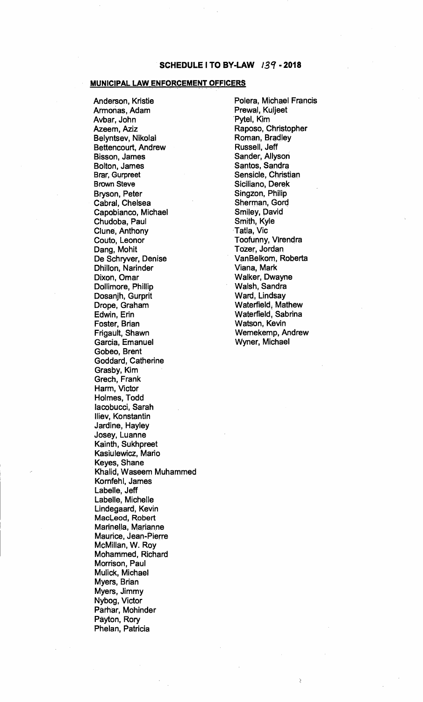## **MUNICIPAL. LAW ENFORCEMENT OFFICERS**

**Anderson, Kristie Armonas, Adam Avbar, John Azeem, Aziz Belyntsev, Nikolai Bettencourt, Andrew Bisson, James Bolton, James Brar, Gurpreet Brown Steve Bryson, Peter Cabral, Chelsea Capobianco, Michael Chudoba, Paul Clune, Anthony Couto, Leonor Dang, Mohit De Schryver, Denise Dhillon, Narinder Dixon, Omar Dollimore, Phillip Dosanjh, Gurprit Drope, Graham Edwin, Erin Foster, Brian Frigault, Shawn Garcia, Emanuel Gobeo, Brent Goddard, Catherine Grasby, Kim Grech, Frank Harm, Victor Holmes, Todd lacobucci, Sarah Iliev, Konstantin Jardine, Hayley Josey, Luanne Kainth, Sukhpreet Kasiulewicz, Mario Keyes, Shane Khalid, Waseem Muhammed Kornfehl, James Labelle, Jeff Labelle, Michelle Lindegaard, Kevin MacLeod, Robert Marinella, Marianne Maurice, Jean-Pierre McMillan, W. Roy Mohammed, Richard Morrison, Paul Mulick, Michael Myers, Brian Myers, Jimmy Nybog, Victor Parhar, Mohinder Payton, Rory Phelan, Patricia** 

**Polera, Michael Francis Prewal, Kuljeet Pytel, Kim Raposo, Christopher Roman, Bradley Russell, Jeff Sander, Allyson Santos, Sandra Sensicle, Christian Siciliano, Derek Singzon, Philip Sherman, Gord Smiley, David Smith, Kyle Tatla, Vic Toofunny, Virendra Tozer, Jordan**. **VanBelkom, Roberta Viana, Mark Walker, Dwayne Walsh, Sandra Ward, Lindsay Waterfield, Mathew Waterfield, Sabrina Watson, Kevin Wemekemp, Andrew Wyner, Michael**